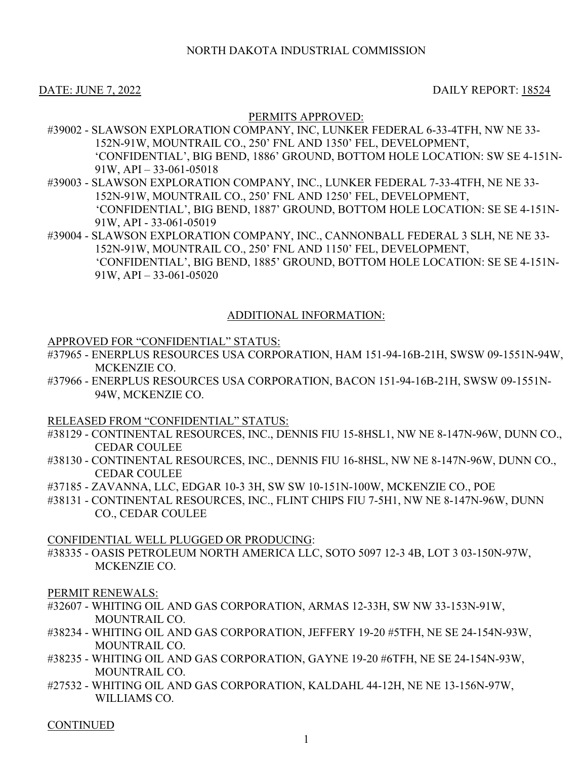### DATE: JUNE 7, 2022 DAILY REPORT: 18524

#### PERMITS APPROVED:

- #39002 SLAWSON EXPLORATION COMPANY, INC, LUNKER FEDERAL 6-33-4TFH, NW NE 33- 152N-91W, MOUNTRAIL CO., 250' FNL AND 1350' FEL, DEVELOPMENT, 'CONFIDENTIAL', BIG BEND, 1886' GROUND, BOTTOM HOLE LOCATION: SW SE 4-151N-91W, API – 33-061-05018
- #39003 SLAWSON EXPLORATION COMPANY, INC., LUNKER FEDERAL 7-33-4TFH, NE NE 33- 152N-91W, MOUNTRAIL CO., 250' FNL AND 1250' FEL, DEVELOPMENT, 'CONFIDENTIAL', BIG BEND, 1887' GROUND, BOTTOM HOLE LOCATION: SE SE 4-151N-91W, API - 33-061-05019
- #39004 SLAWSON EXPLORATION COMPANY, INC., CANNONBALL FEDERAL 3 SLH, NE NE 33- 152N-91W, MOUNTRAIL CO., 250' FNL AND 1150' FEL, DEVELOPMENT, 'CONFIDENTIAL', BIG BEND, 1885' GROUND, BOTTOM HOLE LOCATION: SE SE 4-151N-91W,  $API - 33-061-05020$

## ADDITIONAL INFORMATION:

#### APPROVED FOR "CONFIDENTIAL" STATUS:

- #37965 ENERPLUS RESOURCES USA CORPORATION, HAM 151-94-16B-21H, SWSW 09-1551N-94W, MCKENZIE CO.
- #37966 ENERPLUS RESOURCES USA CORPORATION, BACON 151-94-16B-21H, SWSW 09-1551N-94W, MCKENZIE CO.

RELEASED FROM "CONFIDENTIAL" STATUS:

- #38129 CONTINENTAL RESOURCES, INC., DENNIS FIU 15-8HSL1, NW NE 8-147N-96W, DUNN CO., CEDAR COULEE
- #38130 CONTINENTAL RESOURCES, INC., DENNIS FIU 16-8HSL, NW NE 8-147N-96W, DUNN CO., CEDAR COULEE
- #37185 ZAVANNA, LLC, EDGAR 10-3 3H, SW SW 10-151N-100W, MCKENZIE CO., POE
- #38131 CONTINENTAL RESOURCES, INC., FLINT CHIPS FIU 7-5H1, NW NE 8-147N-96W, DUNN CO., CEDAR COULEE

#### CONFIDENTIAL WELL PLUGGED OR PRODUCING:

#38335 - OASIS PETROLEUM NORTH AMERICA LLC, SOTO 5097 12-3 4B, LOT 3 03-150N-97W, MCKENZIE CO.

#### PERMIT RENEWALS:

- #32607 WHITING OIL AND GAS CORPORATION, ARMAS 12-33H, SW NW 33-153N-91W, MOUNTRAIL CO.
- #38234 WHITING OIL AND GAS CORPORATION, JEFFERY 19-20 #5TFH, NE SE 24-154N-93W, MOUNTRAIL CO.
- #38235 WHITING OIL AND GAS CORPORATION, GAYNE 19-20 #6TFH, NE SE 24-154N-93W, MOUNTRAIL CO.
- #27532 WHITING OIL AND GAS CORPORATION, KALDAHL 44-12H, NE NE 13-156N-97W, WILLIAMS CO.

**CONTINUED**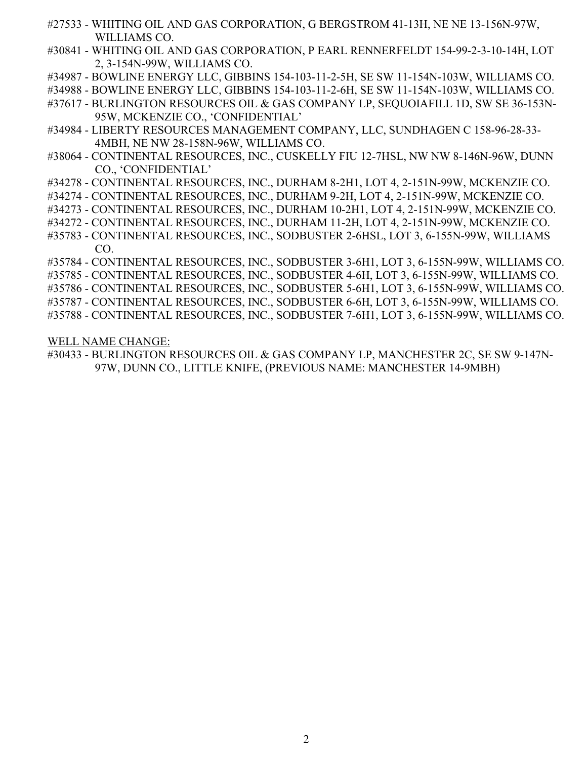- #27533 WHITING OIL AND GAS CORPORATION, G BERGSTROM 41-13H, NE NE 13-156N-97W, WILLIAMS CO.
- #30841 WHITING OIL AND GAS CORPORATION, P EARL RENNERFELDT 154-99-2-3-10-14H, LOT 2, 3-154N-99W, WILLIAMS CO.
- #34987 BOWLINE ENERGY LLC, GIBBINS 154-103-11-2-5H, SE SW 11-154N-103W, WILLIAMS CO.
- #34988 BOWLINE ENERGY LLC, GIBBINS 154-103-11-2-6H, SE SW 11-154N-103W, WILLIAMS CO.
- #37617 BURLINGTON RESOURCES OIL & GAS COMPANY LP, SEQUOIAFILL 1D, SW SE 36-153N-95W, MCKENZIE CO., 'CONFIDENTIAL'
- #34984 LIBERTY RESOURCES MANAGEMENT COMPANY, LLC, SUNDHAGEN C 158-96-28-33- 4MBH, NE NW 28-158N-96W, WILLIAMS CO.
- #38064 CONTINENTAL RESOURCES, INC., CUSKELLY FIU 12-7HSL, NW NW 8-146N-96W, DUNN CO., 'CONFIDENTIAL'
- #34278 CONTINENTAL RESOURCES, INC., DURHAM 8-2H1, LOT 4, 2-151N-99W, MCKENZIE CO.
- #34274 CONTINENTAL RESOURCES, INC., DURHAM 9-2H, LOT 4, 2-151N-99W, MCKENZIE CO.
- #34273 CONTINENTAL RESOURCES, INC., DURHAM 10-2H1, LOT 4, 2-151N-99W, MCKENZIE CO.
- #34272 CONTINENTAL RESOURCES, INC., DURHAM 11-2H, LOT 4, 2-151N-99W, MCKENZIE CO.
- #35783 CONTINENTAL RESOURCES, INC., SODBUSTER 2-6HSL, LOT 3, 6-155N-99W, WILLIAMS CO.
- #35784 CONTINENTAL RESOURCES, INC., SODBUSTER 3-6H1, LOT 3, 6-155N-99W, WILLIAMS CO.
- #35785 CONTINENTAL RESOURCES, INC., SODBUSTER 4-6H, LOT 3, 6-155N-99W, WILLIAMS CO.
- #35786 CONTINENTAL RESOURCES, INC., SODBUSTER 5-6H1, LOT 3, 6-155N-99W, WILLIAMS CO.
- #35787 CONTINENTAL RESOURCES, INC., SODBUSTER 6-6H, LOT 3, 6-155N-99W, WILLIAMS CO.
- #35788 CONTINENTAL RESOURCES, INC., SODBUSTER 7-6H1, LOT 3, 6-155N-99W, WILLIAMS CO.

WELL NAME CHANGE:

#30433 - BURLINGTON RESOURCES OIL & GAS COMPANY LP, MANCHESTER 2C, SE SW 9-147N-97W, DUNN CO., LITTLE KNIFE, (PREVIOUS NAME: MANCHESTER 14-9MBH)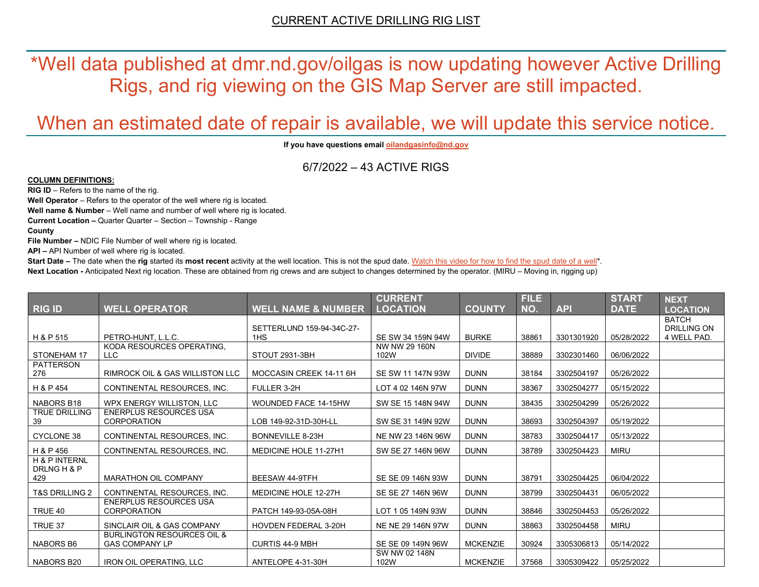\*Well data published at dmr.nd.gov/oilgas is now updating however Active Drilling Rigs, and rig viewing on the GIS Map Server are still impacted.

# When an estimated date of repair is available, we will update this service notice.

**If you have questions emai[l oilandgasinfo@nd.gov](mailto:oilandgasinfo@nd.gov)**

6/7/2022 – 43 ACTIVE RIGS

#### **COLUMN DEFINITIONS:**

**RIG ID** – Refers to the name of the rig.

**Well Operator** – Refers to the operator of the well where rig is located.

**Well name & Number** – Well name and number of well where rig is located.

**Current Location –** Quarter Quarter – Section – Township - Range

**County**

**File Number –** NDIC File Number of well where rig is located.

**API –** API Number of well where rig is located.

**Start Date** – The date when the **rig** started its most recent activity at the well location. This is not the spud date. Watch this video for how [to find the spud date of a well\\*](https://youtu.be/JjWwzuuMVpM). **Next Location -** Anticipated Next rig location. These are obtained from rig crews and are subject to changes determined by the operator. (MIRU – Moving in, rigging up)

|                              |                                                                |                                              | <b>CURRENT</b>        |                 | <b>FILE</b> |            | <b>START</b> | <b>NEXT</b>        |
|------------------------------|----------------------------------------------------------------|----------------------------------------------|-----------------------|-----------------|-------------|------------|--------------|--------------------|
| <b>RIG ID</b>                | <b>WELL OPERATOR</b>                                           | <b>WELL NAME &amp; NUMBER</b>                | <b>LOCATION</b>       | <b>COUNTY</b>   | NO.         | <b>API</b> | <b>DATE</b>  | <b>LOCATION</b>    |
|                              |                                                                |                                              |                       |                 |             |            |              | <b>BATCH</b>       |
| H & P 515                    | PETRO-HUNT. L.L.C.                                             | SETTERLUND 159-94-34C-27-<br>1H <sub>S</sub> | SE SW 34 159N 94W     | <b>BURKE</b>    | 38861       |            | 05/28/2022   | <b>DRILLING ON</b> |
|                              | KODA RESOURCES OPERATING.                                      |                                              | NW NW 29 160N         |                 |             | 3301301920 |              | 4 WELL PAD.        |
| <b>STONEHAM 17</b>           | LLC                                                            | STOUT 2931-3BH                               | 102W                  | <b>DIVIDE</b>   | 38889       | 3302301460 | 06/06/2022   |                    |
| <b>PATTERSON</b><br>276      | <b>RIMROCK OIL &amp; GAS WILLISTON LLC</b>                     | MOCCASIN CREEK 14-11 6H                      | SE SW 11 147N 93W     | <b>DUNN</b>     | 38184       | 3302504197 | 05/26/2022   |                    |
| H & P 454                    | CONTINENTAL RESOURCES. INC.                                    | FULLER 3-2H                                  | LOT 4 02 146N 97W     | <b>DUNN</b>     | 38367       | 3302504277 | 05/15/2022   |                    |
| <b>NABORS B18</b>            | WPX ENERGY WILLISTON, LLC                                      | WOUNDED FACE 14-15HW                         | SW SE 15 148N 94W     | <b>DUNN</b>     | 38435       | 3302504299 | 05/26/2022   |                    |
| <b>TRUE DRILLING</b><br>39   | <b>ENERPLUS RESOURCES USA</b><br><b>CORPORATION</b>            | LOB 149-92-31D-30H-LL                        | SW SE 31 149N 92W     | <b>DUNN</b>     | 38693       | 3302504397 | 05/19/2022   |                    |
| <b>CYCLONE 38</b>            | CONTINENTAL RESOURCES. INC.                                    | <b>BONNEVILLE 8-23H</b>                      | NE NW 23 146N 96W     | <b>DUNN</b>     | 38783       | 3302504417 | 05/13/2022   |                    |
| H & P 456                    | CONTINENTAL RESOURCES. INC.                                    | <b>MEDICINE HOLE 11-27H1</b>                 | SW SE 27 146N 96W     | <b>DUNN</b>     | 38789       | 3302504423 | <b>MIRU</b>  |                    |
| H & P INTERNL<br>DRLNG H & P |                                                                |                                              |                       |                 |             |            |              |                    |
| 429                          | <b>MARATHON OIL COMPANY</b>                                    | BEESAW 44-9TFH                               | SE SE 09 146N 93W     | <b>DUNN</b>     | 38791       | 3302504425 | 06/04/2022   |                    |
| <b>T&amp;S DRILLING 2</b>    | CONTINENTAL RESOURCES. INC.                                    | <b>MEDICINE HOLE 12-27H</b>                  | SE SE 27 146N 96W     | <b>DUNN</b>     | 38799       | 3302504431 | 06/05/2022   |                    |
| TRUE 40                      | <b>ENERPLUS RESOURCES USA</b><br><b>CORPORATION</b>            | PATCH 149-93-05A-08H                         | LOT 1 05 149N 93W     | <b>DUNN</b>     | 38846       | 3302504453 | 05/26/2022   |                    |
| TRUE 37                      | SINCLAIR OIL & GAS COMPANY                                     | <b>HOVDEN FEDERAL 3-20H</b>                  | NE NE 29 146N 97W     | <b>DUNN</b>     | 38863       | 3302504458 | <b>MIRU</b>  |                    |
| <b>NABORS B6</b>             | <b>BURLINGTON RESOURCES OIL &amp;</b><br><b>GAS COMPANY LP</b> | <b>CURTIS 44-9 MBH</b>                       | SE SE 09 149N 96W     | <b>MCKENZIE</b> | 30924       | 3305306813 | 05/14/2022   |                    |
| NABORS B20                   | <b>IRON OIL OPERATING, LLC</b>                                 | ANTELOPE 4-31-30H                            | SW NW 02 148N<br>102W | <b>MCKENZIE</b> | 37568       | 3305309422 | 05/25/2022   |                    |